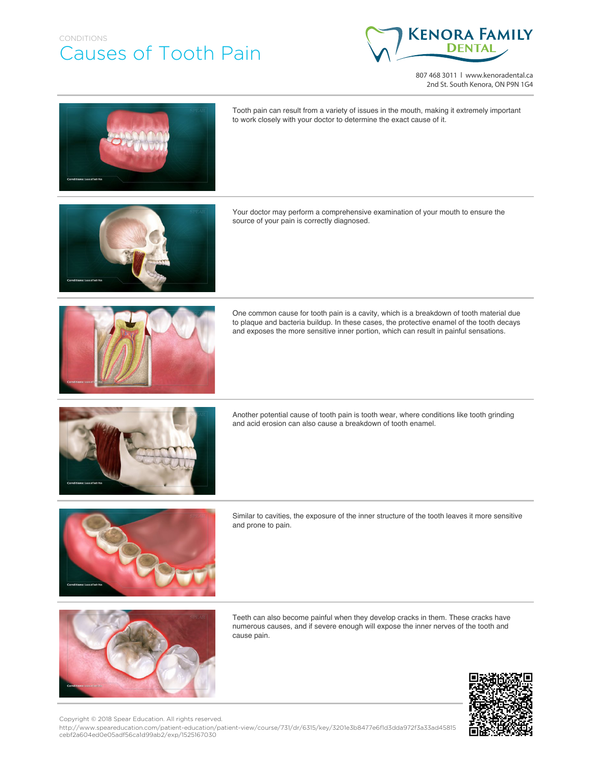## CONDITIONS Causes of Tooth Pain



807 468 3011 | www.kenoradental.ca 2nd St. South Kenora, ON P9N 1G4

Tooth pain can result from a variety of issues in the mouth, making it extremely important to work closely with your doctor to determine the exact cause of it. Your doctor may perform a comprehensive examination of your mouth to ensure the source of your pain is correctly diagnosed. One common cause for tooth pain is a cavity, which is a breakdown of tooth material due to plaque and bacteria buildup. In these cases, the protective enamel of the tooth decays and exposes the more sensitive inner portion, which can result in painful sensations. Another potential cause of tooth pain is tooth wear, where conditions like tooth grinding and acid erosion can also cause a breakdown of tooth enamel.



Similar to cavities, the exposure of the inner structure of the tooth leaves it more sensitive and prone to pain.



Teeth can also become painful when they develop cracks in them. These cracks have numerous causes, and if severe enough will expose the inner nerves of the tooth and cause pain.



Copyright © 2018 Spear Education. All rights reserved.

http://www.speareducation.com/patient-education/patient-view/course/731/dr/6315/key/3201e3b8477e6f1d3dda972f3a33ad45815 cebf2a604ed0e05adf56ca1d99ab2/exp/1525167030